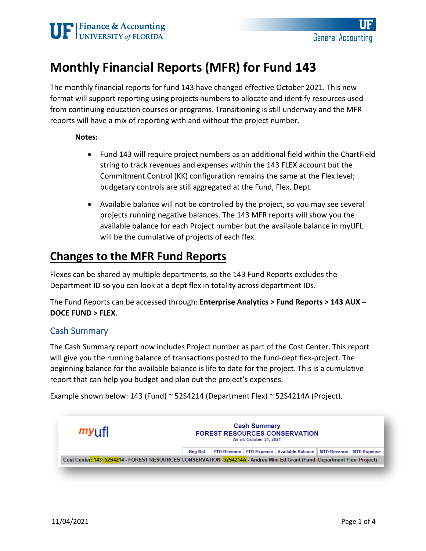# **Monthly Financial Reports (MFR) for Fund 143**

The monthly financial reports for fund 143 have changed effective October 2021. This new format will support reporting using projects numbers to allocate and identify resources used from continuing education courses or programs. Transitioning is still underway and the MFR reports will have a mix of reporting with and without the project number.

#### **Notes:**

- Fund 143 will require project numbers as an additional field within the ChartField string to track revenues and expenses within the 143 FLEX account but the Commitment Control (KK) configuration remains the same at the Flex level; budgetary controls are still aggregated at the Fund, Flex, Dept.
- Available balance will not be controlled by the project, so you may see several projects running negative balances. The 143 MFR reports will show you the available balance for each Project number but the available balance in myUFL will be the cumulative of projects of each flex.

## **Changes to the MFR Fund Reports**

Flexes can be shared by multiple departments, so the 143 Fund Reports excludes the Department ID so you can look at a dept flex in totality across department IDs.

The Fund Reports can be accessed through: **Enterprise Analytics > Fund Reports > 143 AUX – DOCE FUND > FLEX**.

#### Cash Summary

The Cash Summary report now includes Project number as part of the Cost Center. This report will give you the running balance of transactions posted to the fund-dept flex-project. The beginning balance for the available balance is life to date for the project. This is a cumulative report that can help you budget and plan out the project's expenses.

Example shown below: 143 (Fund) ~ 52S4214 (Department Flex) ~ 52S4214A (Project).

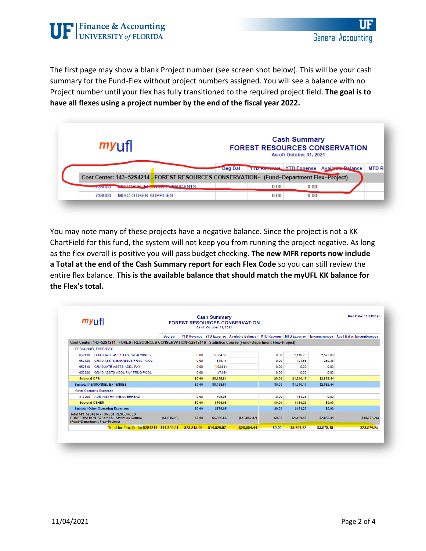The first page may show a blank Project number (see screen shot below). This will be your cash summary for the Fund-Flex without project numbers assigned. You will see a balance with no Project number until your flex has fully transitioned to the required project field. **The goal is to have all flexes using a project number by the end of the fiscal year 2022.**

| $my$ if                                                                                  | <b>Cash Summary</b><br><b>FOREST RESOURCES CONSERVATION</b><br>As of: October 31, 2021 |      |      |                                                |             |  |  |
|------------------------------------------------------------------------------------------|----------------------------------------------------------------------------------------|------|------|------------------------------------------------|-------------|--|--|
|                                                                                          | <b>Beg Bal</b>                                                                         |      |      | YTD November   YTD Expense   Available Balance | <b>MTDR</b> |  |  |
| Cost Center: 143~52S4214 - FOREST RESOURCES CONSERVATION~ (Fund~Department Flex~Project) |                                                                                        |      |      |                                                |             |  |  |
| <b>MOTOR ELIELS AND LUBRICANTS</b><br><b><i><u>POSSIBILITY</u></i></b>                   |                                                                                        | 0.00 | 0.00 |                                                |             |  |  |
| <b>MISC OTHER SUPPLIES</b><br>738000                                                     |                                                                                        | 0.00 | 0.00 |                                                |             |  |  |

You may note many of these projects have a negative balance. Since the project is not a KK ChartField for this fund, the system will not keep you from running the project negative. As long as the flex overall is positive you will pass budget checking. **The new MFR reports now include a Total at the end of the Cash Summary report for each Flex Code** so you can still review the entire flex balance. **This is the available balance that should match the myUFL KK balance for the Flex's total.** 

| myufl                                                                                                                | <b>FOREST RESOURCES CONSERVATION</b> | Run Date: 11/04/2021 |             |                                                                   |        |            |            |                                               |
|----------------------------------------------------------------------------------------------------------------------|--------------------------------------|----------------------|-------------|-------------------------------------------------------------------|--------|------------|------------|-----------------------------------------------|
|                                                                                                                      | <b>Beg Bal</b>                       |                      |             | YTD Revenue YTD Expense Available Balance MTD Revenue MTD Expense |        |            |            | <b>Encumbrances</b> Avail Bal w/ Encumbrances |
| Cost Center: 143~52S4214 - FOREST RESOURCES CONSERVATION~52S4214S - Statistics Course (Fund~Department Flex~Project) |                                      |                      |             |                                                                   |        |            |            |                                               |
| PERSONNEL EXPENSES                                                                                                   |                                      |                      |             |                                                                   |        |            |            |                                               |
| <b>GRADUATE ASSISTANTS-EARNINGS</b><br>652110                                                                        |                                      | 0.00                 | 5.634.97    |                                                                   | 0.00   | 1,118.29   | 2.572.08   |                                               |
| 652120<br><b>GRAD ASSTS-EARNINGS FRNG POOL</b>                                                                       |                                      | 0.00                 | 614.14      |                                                                   | 0.00   | 121.88     | 280.36     |                                               |
| <b>GRADUATE ASSTS-ADDL PAY</b><br>652310                                                                             |                                      | 0.00                 | (102.61)    |                                                                   | 0.00   | 0.00       | 0.00       |                                               |
| 652320<br><b>GRAD ASSTS-ADDL PAY FRNG POOL</b>                                                                       |                                      | 0.00                 | (7.69)      |                                                                   | 0.00   | 0.00       | 0.00       |                                               |
| <b>Subtotal OPS</b>                                                                                                  |                                      | \$0.00               | \$6,138.81  |                                                                   | \$0.00 | \$1,240.17 | \$2,852.44 |                                               |
| <b>Subtotal PERSONNEL EXPENSES</b>                                                                                   |                                      | \$0.00               | \$6,138.81  |                                                                   | \$0.00 | \$1,240.17 | \$2.852.44 |                                               |
| <b>Other Operating Expenses</b>                                                                                      |                                      |                      |             |                                                                   |        |            |            |                                               |
| 813000<br><b>ADMINISTRATIVE OVERHEAD</b>                                                                             |                                      | 0.00                 | 798.05      |                                                                   | 0.00   | 161.23     | 0.00       |                                               |
| <b>Subtotal OTHER</b>                                                                                                |                                      | \$0.00               | \$798.05    |                                                                   | \$0.00 | \$161.23   | \$0.00     |                                               |
| <b>Subtotal Other Operating Expenses</b>                                                                             |                                      | \$0.00               | \$798.05    |                                                                   | \$0.00 | \$161.23   | \$0.00     |                                               |
| Total 143~52S4214 - FOREST RESOURCES<br>CONSERVATION~52S4214S - Statistics Course<br>(Fund~Department Flex~Project)  | ( \$8.915.96)                        | \$0.00               | \$6,936.86  | (\$15,852.82)                                                     | \$0.00 | \$1,401.40 | \$2,852.44 | ( \$18, 705.26)                               |
| Total for Flex Code: 52S4214 \$17.859.51                                                                             |                                      | \$23.315.00          | \$14,520.07 | \$26,654.44                                                       | \$0.00 | \$3,898.32 | \$3,078.19 | \$23,576.25                                   |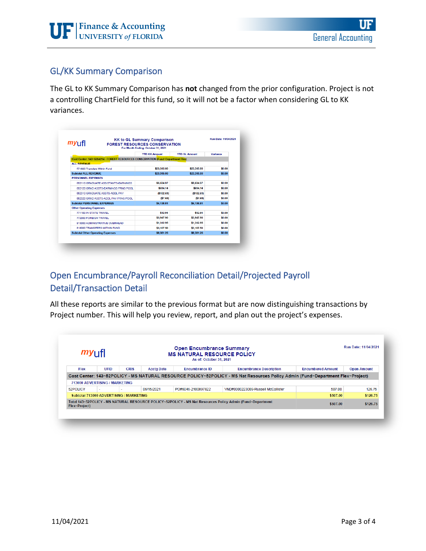

### GL/KK Summary Comparison

The GL to KK Summary Comparison has **not** changed from the prior configuration. Project is not a controlling ChartField for this fund, so it will not be a factor when considering GL to KK variances.

| $my$ <sub>LJ</sub> fl                                                           | <b>KK to GL Summary Comparison</b><br><b>FOREST RESOURCES CONSERVATION</b><br>For Month Ending: October 31, 2021 |                      |          |
|---------------------------------------------------------------------------------|------------------------------------------------------------------------------------------------------------------|----------------------|----------|
|                                                                                 | <b>YTD KK Amount</b>                                                                                             | <b>YTD GL Amount</b> | Variance |
| Cost Center: 143~52S4214 - FOREST RESOURCES CONSERVATION (Fund~Department Flex) |                                                                                                                  |                      |          |
| <b>AIT REVENUE</b>                                                              |                                                                                                                  |                      |          |
| 571800 Transfers Within Fund                                                    | \$23,315.00                                                                                                      | \$23,315.00          | \$0.00   |
| <b>Subtotal ALL REVENUE</b>                                                     | \$23,315.00                                                                                                      | \$23,315.00          | \$0.00   |
| <b>PERSONNEL EXPENSES</b>                                                       |                                                                                                                  |                      |          |
| 652110 GRADUATE ASSISTANTS-FARNINGS                                             | \$5,634.97                                                                                                       | \$5,634.97           | \$0.00   |
| 652120 GRAD ASSTS-EARNINGS FRNG POOL                                            | \$614.14                                                                                                         | \$614.14             | \$0.00   |
| 652310 GRADUATE ASSTS-ADDL PAY                                                  | (\$102.61)                                                                                                       | ( \$102.61)          | \$0.00   |
| 652320 GRAD ASSTS-ADDL PAY FRNG POOL                                            | (57.69)                                                                                                          | (57.69)              | \$0.00   |
| <b>Subtotal PERSONNEL EXPENSES</b>                                              | \$6,138.81                                                                                                       | \$6,138.81           | \$0.00   |
| <b>Other Operating Expenses</b>                                                 |                                                                                                                  |                      |          |
| 771100 IN STATE TRAVEL                                                          | \$12.91                                                                                                          | \$12.91              | \$0.00   |
| 772000 FOREIGN TRAVEL                                                           | \$3,947.90                                                                                                       | \$3,947.90           | \$0.00   |
| 813000 ADMINISTRATIVE OVERHEAD                                                  | \$1,312.95                                                                                                       | \$1,312.95           | \$0.00   |
| 818000 TRANSFERS WITHIN FUND                                                    | \$3,107.50                                                                                                       | \$3,107.50           | \$0.00   |
| <b>Subtotal Other Operating Expenses</b>                                        | \$8,381.26                                                                                                       | \$8,381.26           | \$0.00   |

### Open Encumbrance/Payroll Reconciliation Detail/Projected Payroll Detail/Transaction Detail

All these reports are similar to the previous format but are now distinguishing transactions by Project number. This will help you review, report, and plan out the project's expenses.

| my <sub>U</sub> fl |                                         |             | <b>Open Encumbrance Summary</b><br><b>MS NATURAL RESOURCE POLICY</b><br>As of: October 31, 2021 |                       |                                                                                                                                |                          |                    |
|--------------------|-----------------------------------------|-------------|-------------------------------------------------------------------------------------------------|-----------------------|--------------------------------------------------------------------------------------------------------------------------------|--------------------------|--------------------|
| Flex               | UFID                                    | <b>CRIS</b> | <b>Acctg Date</b>                                                                               | <b>Encumbrance ID</b> | <b>Encumbrance Description</b>                                                                                                 | <b>Encumbered Amount</b> | <b>Open Amount</b> |
|                    |                                         |             |                                                                                                 |                       | Cost Center: 143~52POLICY - MS NATURAL RESOURCE POLICY~52POLICY - MS Nat Resources Policy Admin (Fund~Department Flex~Project) |                          |                    |
|                    | 713000 ADVERTISING / MARKETING          |             |                                                                                                 |                       |                                                                                                                                |                          |                    |
| 52POLICY           | $\sim$                                  |             | 06/15/2021                                                                                      | PO#6046-2100897822    | VND#0000223009-Russell McCallister                                                                                             | 507.00                   | 126.75             |
|                    | Subtotal 713000 ADVERTISING / MARKETING |             |                                                                                                 |                       |                                                                                                                                | \$507.00                 | \$126.75           |
| Flex~Project)      |                                         |             |                                                                                                 |                       | Total 143~52POLICY - MS NATURAL RESOURCE POLICY~52POLICY - MS Nat Resources Policy Admin (Fund~Department                      | \$507.00                 | \$126.75           |